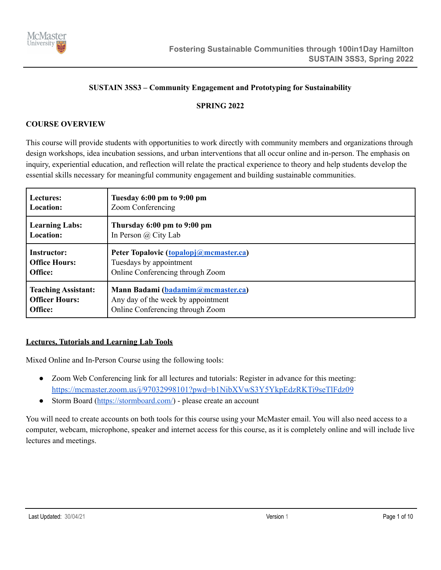

### **SUSTAIN 3SS3 – Community Engagement and Prototyping for Sustainability**

### **SPRING 2022**

### **COURSE OVERVIEW**

This course will provide students with opportunities to work directly with community members and organizations through design workshops, idea incubation sessions, and urban interventions that all occur online and in-person. The emphasis on inquiry, experiential education, and reflection will relate the practical experience to theory and help students develop the essential skills necessary for meaningful community engagement and building sustainable communities.

| Lectures:                  | Tuesday 6:00 pm to 9:00 pm             |  |
|----------------------------|----------------------------------------|--|
| Location:                  | Zoom Conferencing                      |  |
| <b>Learning Labs:</b>      | Thursday 6:00 pm to 9:00 pm            |  |
| <b>Location:</b>           | In Person $\omega$ City Lab            |  |
| <b>Instructor:</b>         | Peter Topalovic (topalopj@mcmaster.ca) |  |
| <b>Office Hours:</b>       | Tuesdays by appointment                |  |
| Office:                    | Online Conferencing through Zoom       |  |
| <b>Teaching Assistant:</b> | Mann Badami (badamim@mcmaster.ca)      |  |
| <b>Officer Hours:</b>      | Any day of the week by appointment     |  |
| Office:                    | Online Conferencing through Zoom       |  |

### **Lectures, Tutorials and Learning Lab Tools**

Mixed Online and In-Person Course using the following tools:

- Zoom Web Conferencing link for all lectures and tutorials: Register in advance for this meeting: <https://mcmaster.zoom.us/j/97032998101?pwd=b1NibXVwS3Y5YkpEdzRKTi9seTlFdz09>
- Storm Board (<https://stormboard.com/>) please create an account

You will need to create accounts on both tools for this course using your McMaster email. You will also need access to a computer, webcam, microphone, speaker and internet access for this course, as it is completely online and will include live lectures and meetings.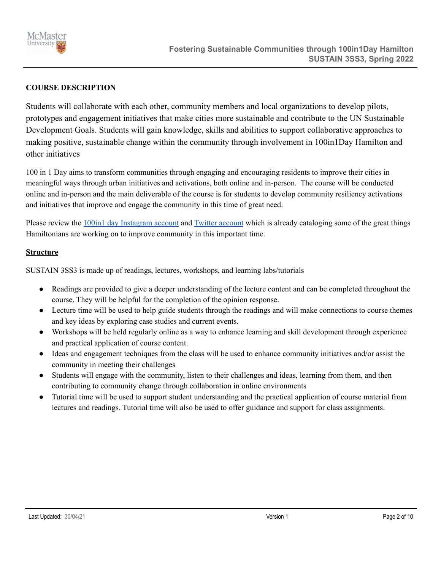

### **COURSE DESCRIPTION**

Students will collaborate with each other, community members and local organizations to develop pilots, prototypes and engagement initiatives that make cities more sustainable and contribute to the UN Sustainable Development Goals. Students will gain knowledge, skills and abilities to support collaborative approaches to making positive, sustainable change within the community through involvement in 100in1Day Hamilton and other initiatives

100 in 1 Day aims to transform communities through engaging and encouraging residents to improve their cities in meaningful ways through urban initiatives and activations, both online and in-person. The course will be conducted online and in-person and the main deliverable of the course is for students to develop community resiliency activations and initiatives that improve and engage the community in this time of great need.

Please review the 100in1 day [Instagram](https://www.instagram.com/100in1dayham/?hl=en) [account](https://twitter.com/100in1dayham?lang=en) and Twitter account which is already cataloging some of the great things Hamiltonians are working on to improve community in this important time.

#### **Structure**

SUSTAIN 3SS3 is made up of readings, lectures, workshops, and learning labs/tutorials

- Readings are provided to give a deeper understanding of the lecture content and can be completed throughout the course. They will be helpful for the completion of the opinion response.
- Lecture time will be used to help guide students through the readings and will make connections to course themes and key ideas by exploring case studies and current events.
- Workshops will be held regularly online as a way to enhance learning and skill development through experience and practical application of course content.
- Ideas and engagement techniques from the class will be used to enhance community initiatives and/or assist the community in meeting their challenges
- Students will engage with the community, listen to their challenges and ideas, learning from them, and then contributing to community change through collaboration in online environments
- Tutorial time will be used to support student understanding and the practical application of course material from lectures and readings. Tutorial time will also be used to offer guidance and support for class assignments.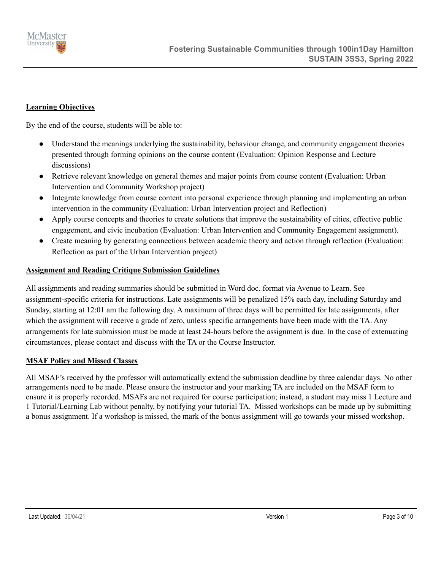

# **Learning Objectives**

By the end of the course, students will be able to:

- Understand the meanings underlying the sustainability, behaviour change, and community engagement theories presented through forming opinions on the course content (Evaluation: Opinion Response and Lecture discussions)
- Retrieve relevant knowledge on general themes and major points from course content (Evaluation: Urban Intervention and Community Workshop project)
- Integrate knowledge from course content into personal experience through planning and implementing an urban intervention in the community (Evaluation: Urban Intervention project and Reflection)
- Apply course concepts and theories to create solutions that improve the sustainability of cities, effective public engagement, and civic incubation (Evaluation: Urban Intervention and Community Engagement assignment).
- Create meaning by generating connections between academic theory and action through reflection (Evaluation: Reflection as part of the Urban Intervention project)

### **Assignment and Reading Critique Submission Guidelines**

All assignments and reading summaries should be submitted in Word doc. format via Avenue to Learn. See assignment-specific criteria for instructions. Late assignments will be penalized 15% each day, including Saturday and Sunday, starting at 12:01 am the following day. A maximum of three days will be permitted for late assignments, after which the assignment will receive a grade of zero, unless specific arrangements have been made with the TA. Any arrangements for late submission must be made at least 24-hours before the assignment is due. In the case of extenuating circumstances, please contact and discuss with the TA or the Course Instructor.

### **MSAF Policy and Missed Classes**

All MSAF's received by the professor will automatically extend the submission deadline by three calendar days. No other arrangements need to be made. Please ensure the instructor and your marking TA are included on the MSAF form to ensure it is properly recorded. MSAFs are not required for course participation; instead, a student may miss 1 Lecture and 1 Tutorial/Learning Lab without penalty, by notifying your tutorial TA. Missed workshops can be made up by submitting a bonus assignment. If a workshop is missed, the mark of the bonus assignment will go towards your missed workshop.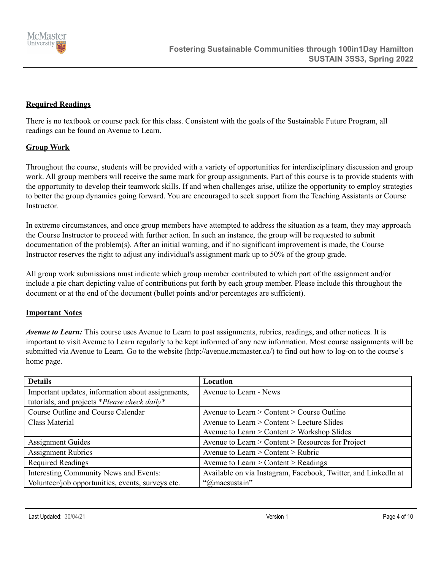

### **Required Readings**

There is no textbook or course pack for this class. Consistent with the goals of the Sustainable Future Program, all readings can be found on Avenue to Learn.

### **Group Work**

Throughout the course, students will be provided with a variety of opportunities for interdisciplinary discussion and group work. All group members will receive the same mark for group assignments. Part of this course is to provide students with the opportunity to develop their teamwork skills. If and when challenges arise, utilize the opportunity to employ strategies to better the group dynamics going forward. You are encouraged to seek support from the Teaching Assistants or Course **Instructor** 

In extreme circumstances, and once group members have attempted to address the situation as a team, they may approach the Course Instructor to proceed with further action. In such an instance, the group will be requested to submit documentation of the problem(s). After an initial warning, and if no significant improvement is made, the Course Instructor reserves the right to adjust any individual's assignment mark up to 50% of the group grade.

All group work submissions must indicate which group member contributed to which part of the assignment and/or include a pie chart depicting value of contributions put forth by each group member. Please include this throughout the document or at the end of the document (bullet points and/or percentages are sufficient).

### **Important Notes**

*Avenue to Learn:* This course uses Avenue to Learn to post assignments, rubrics, readings, and other notices. It is important to visit Avenue to Learn regularly to be kept informed of any new information. Most course assignments will be submitted via Avenue to Learn. Go to the website (http://avenue.mcmaster.ca/) to find out how to log-on to the course's home page.

| <b>Details</b>                                    | Location                                                       |
|---------------------------------------------------|----------------------------------------------------------------|
| Important updates, information about assignments, | Avenue to Learn - News                                         |
| tutorials, and projects *Please check daily*      |                                                                |
| Course Outline and Course Calendar                | Avenue to Learn > Content > Course Outline                     |
| Class Material                                    | Avenue to Learn $>$ Content $>$ Lecture Slides                 |
|                                                   | Avenue to Learn > Content > Workshop Slides                    |
| <b>Assignment Guides</b>                          | Avenue to Learn > Content > Resources for Project              |
| <b>Assignment Rubrics</b>                         | Avenue to Learn $>$ Content $>$ Rubric                         |
| <b>Required Readings</b>                          | Avenue to Learn $>$ Content $>$ Readings                       |
| Interesting Community News and Events:            | Available on via Instagram, Facebook, Twitter, and LinkedIn at |
| Volunteer/job opportunities, events, surveys etc. | "@macsustain"                                                  |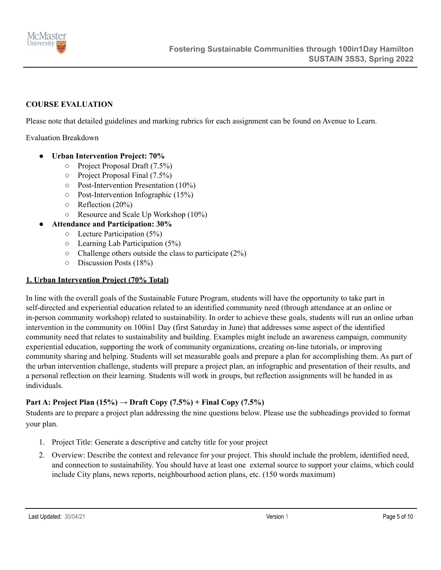

### **COURSE EVALUATION**

Please note that detailed guidelines and marking rubrics for each assignment can be found on Avenue to Learn.

Evaluation Breakdown

- **● Urban Intervention Project: 70%**
	- Project Proposal Draft (7.5%)
	- Project Proposal Final (7.5%)
	- Post-Intervention Presentation (10%)
	- Post-Intervention Infographic (15%)
	- $\circ$  Reflection (20%)
	- Resource and Scale Up Workshop (10%)
	- **● Attendance and Participation: 30%**
		- $\circ$  Lecture Participation (5%)
		- Learning Lab Participation (5%)
		- $\circ$  Challenge others outside the class to participate (2%)
		- Discussion Posts (18%)

### **1. Urban Intervention Project (70% Total)**

In line with the overall goals of the Sustainable Future Program, students will have the opportunity to take part in self-directed and experiential education related to an identified community need (through attendance at an online or in-person community workshop) related to sustainability. In order to achieve these goals, students will run an online urban intervention in the community on 100in1 Day (first Saturday in June) that addresses some aspect of the identified community need that relates to sustainability and building. Examples might include an awareness campaign, community experiential education, supporting the work of community organizations, creating on-line tutorials, or improving community sharing and helping. Students will set measurable goals and prepare a plan for accomplishing them. As part of the urban intervention challenge, students will prepare a project plan, an infographic and presentation of their results, and a personal reflection on their learning. Students will work in groups, but reflection assignments will be handed in as individuals.

### **Part A: Project Plan**  $(15\%) \rightarrow$  **Draft** Copy  $(7.5\%)$  **+** Final Copy  $(7.5\%)$

Students are to prepare a project plan addressing the nine questions below. Please use the subheadings provided to format your plan.

- 1. Project Title: Generate a descriptive and catchy title for your project
- 2. Overview: Describe the context and relevance for your project. This should include the problem, identified need, and connection to sustainability. You should have at least one external source to support your claims, which could include City plans, news reports, neighbourhood action plans, etc. (150 words maximum)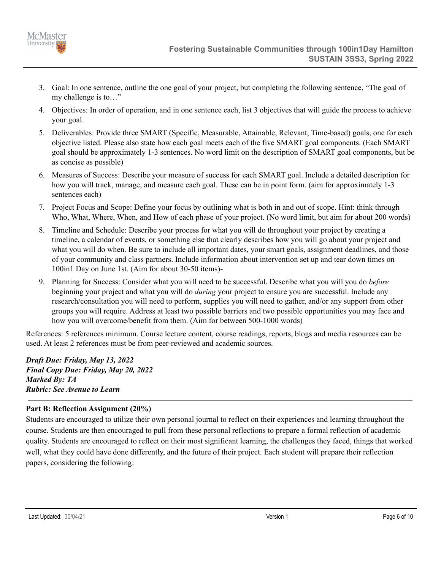

- 3. Goal: In one sentence, outline the one goal of your project, but completing the following sentence, "The goal of my challenge is to…"
- 4. Objectives: In order of operation, and in one sentence each, list 3 objectives that will guide the process to achieve your goal.
- 5. Deliverables: Provide three SMART (Specific, Measurable, Attainable, Relevant, Time-based) goals, one for each objective listed. Please also state how each goal meets each of the five SMART goal components. (Each SMART goal should be approximately 1-3 sentences. No word limit on the description of SMART goal components, but be as concise as possible)
- 6. Measures of Success: Describe your measure of success for each SMART goal. Include a detailed description for how you will track, manage, and measure each goal. These can be in point form. (aim for approximately 1-3 sentences each)
- 7. Project Focus and Scope: Define your focus by outlining what is both in and out of scope. Hint: think through Who, What, Where, When, and How of each phase of your project. (No word limit, but aim for about 200 words)
- 8. Timeline and Schedule: Describe your process for what you will do throughout your project by creating a timeline, a calendar of events, or something else that clearly describes how you will go about your project and what you will do when. Be sure to include all important dates, your smart goals, assignment deadlines, and those of your community and class partners. Include information about intervention set up and tear down times on 100in1 Day on June 1st. (Aim for about 30-50 items)-
- 9. Planning for Success: Consider what you will need to be successful. Describe what you will you do *before* beginning your project and what you will do *during* your project to ensure you are successful. Include any research/consultation you will need to perform, supplies you will need to gather, and/or any support from other groups you will require. Address at least two possible barriers and two possible opportunities you may face and how you will overcome/benefit from them. (Aim for between 500-1000 words)

References: 5 references minimum. Course lecture content, course readings, reports, blogs and media resources can be used. At least 2 references must be from peer-reviewed and academic sources.

*Draft Due: Friday, May 13, 2022 Final Copy Due: Friday, May 20, 2022 Marked By: TA Rubric: See Avenue to Learn*

## **Part B: Reflection Assignment (20%)**

Students are encouraged to utilize their own personal journal to reflect on their experiences and learning throughout the course. Students are then encouraged to pull from these personal reflections to prepare a formal reflection of academic quality. Students are encouraged to reflect on their most significant learning, the challenges they faced, things that worked well, what they could have done differently, and the future of their project. Each student will prepare their reflection papers, considering the following: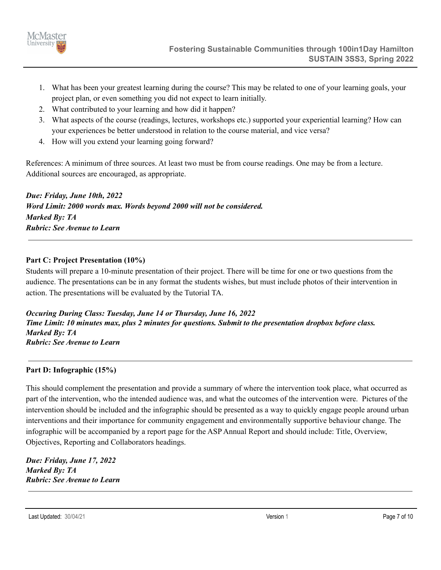

- 1. What has been your greatest learning during the course? This may be related to one of your learning goals, your project plan, or even something you did not expect to learn initially.
- 2. What contributed to your learning and how did it happen?
- 3. What aspects of the course (readings, lectures, workshops etc.) supported your experiential learning? How can your experiences be better understood in relation to the course material, and vice versa?
- 4. How will you extend your learning going forward?

References: A minimum of three sources. At least two must be from course readings. One may be from a lecture. Additional sources are encouraged, as appropriate.

*Due: Friday, June 10th, 2022 Word Limit: 2000 words max. Words beyond 2000 will not be considered. Marked By: TA Rubric: See Avenue to Learn*

## **Part C: Project Presentation (10%)**

Students will prepare a 10-minute presentation of their project. There will be time for one or two questions from the audience. The presentations can be in any format the students wishes, but must include photos of their intervention in action. The presentations will be evaluated by the Tutorial TA.

*Occuring During Class: Tuesday, June 14 or Thursday, June 16, 2022* Time Limit: 10 minutes max, plus 2 minutes for questions. Submit to the presentation dropbox before class. *Marked By: TA Rubric: See Avenue to Learn*

## **Part D: Infographic (15%)**

This should complement the presentation and provide a summary of where the intervention took place, what occurred as part of the intervention, who the intended audience was, and what the outcomes of the intervention were. Pictures of the intervention should be included and the infographic should be presented as a way to quickly engage people around urban interventions and their importance for community engagement and environmentally supportive behaviour change. The infographic will be accompanied by a report page for the ASP Annual Report and should include: Title, Overview, Objectives, Reporting and Collaborators headings.

*Due: Friday, June 17, 2022 Marked By: TA Rubric: See Avenue to Learn*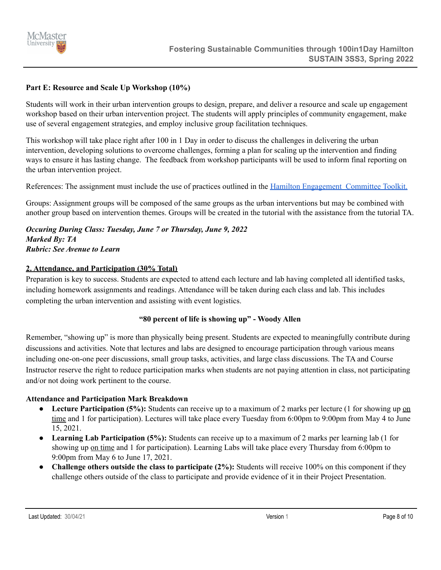

# **Part E: Resource and Scale Up Workshop (10%)**

Students will work in their urban intervention groups to design, prepare, and deliver a resource and scale up engagement workshop based on their urban intervention project. The students will apply principles of community engagement, make use of several engagement strategies, and employ inclusive group facilitation techniques.

This workshop will take place right after 100 in 1 Day in order to discuss the challenges in delivering the urban intervention, developing solutions to overcome challenges, forming a plan for scaling up the intervention and finding ways to ensure it has lasting change. The feedback from workshop participants will be used to inform final reporting on the urban intervention project.

References: The assignment must include the use of practices outlined in the Hamilton [Engagement](https://d3fpllf1m7bbt3.cloudfront.net/sites/default/files/media/browser/2018-08-13/public-engagement-policy-toolkit-v2.pdf) Committee Toolkit.

Groups: Assignment groups will be composed of the same groups as the urban interventions but may be combined with another group based on intervention themes. Groups will be created in the tutorial with the assistance from the tutorial TA.

*Occuring During Class: Tuesday, June 7 or Thursday, June 9, 2022 Marked By: TA Rubric: See Avenue to Learn*

### **2. Attendance, and Participation (30% Total)**

Preparation is key to success. Students are expected to attend each lecture and lab having completed all identified tasks, including homework assignments and readings. Attendance will be taken during each class and lab. This includes completing the urban intervention and assisting with event logistics.

## **"80 percent of life is showing up" - Woody Allen**

Remember, "showing up" is more than physically being present. Students are expected to meaningfully contribute during discussions and activities. Note that lectures and labs are designed to encourage participation through various means including one-on-one peer discussions, small group tasks, activities, and large class discussions. The TA and Course Instructor reserve the right to reduce participation marks when students are not paying attention in class, not participating and/or not doing work pertinent to the course.

### **Attendance and Participation Mark Breakdown**

- **Lecture Participation (5%):** Students can receive up to a maximum of 2 marks per lecture (1 for showing up on time and 1 for participation). Lectures will take place every Tuesday from 6:00pm to 9:00pm from May 4 to June 15, 2021.
- **Learning Lab Participation (5%):** Students can receive up to a maximum of 2 marks per learning lab (1 for showing up on time and 1 for participation). Learning Labs will take place every Thursday from 6:00pm to 9:00pm from May 6 to June 17, 2021.
- **Challenge others outside the class to participate (2%):** Students will receive 100% on this component if they challenge others outside of the class to participate and provide evidence of it in their Project Presentation.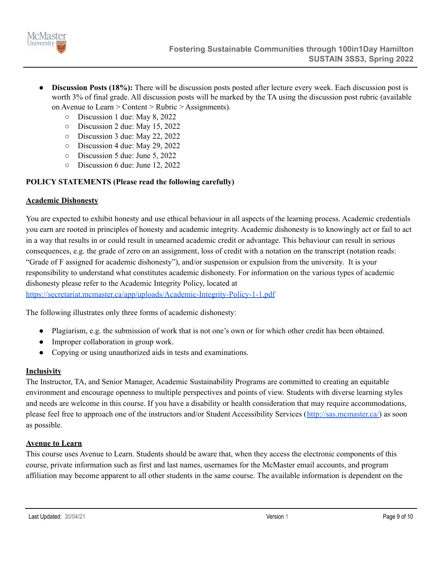

- **Discussion Posts (18%):** There will be discussion posts posted after lecture every week. Each discussion post is worth 3% of final grade. All discussion posts will be marked by the TA using the discussion post rubric (available on Avenue to Learn > Content > Rubric > Assignments).
	- Discussion 1 due: May 8, 2022
	- Discussion 2 due: May 15, 2022
	- Discussion 3 due: May 22, 2022
	- Discussion 4 due: May 29, 2022
	- Discussion 5 due: June 5, 2022
	- Discussion 6 due: June 12, 2022

# **POLICY STATEMENTS (Please read the following carefully)**

### **Academic Dishonesty**

You are expected to exhibit honesty and use ethical behaviour in all aspects of the learning process. Academic credentials you earn are rooted in principles of honesty and academic integrity. Academic dishonesty is to knowingly act or fail to act in a way that results in or could result in unearned academic credit or advantage. This behaviour can result in serious consequences, e.g. the grade of zero on an assignment, loss of credit with a notation on the transcript (notation reads: "Grade of F assigned for academic dishonesty"), and/or suspension or expulsion from the university. It is your responsibility to understand what constitutes academic dishonesty. For information on the various types of academic dishonesty please refer to the Academic Integrity Policy, located at

<https://secretariat.mcmaster.ca/app/uploads/Academic-Integrity-Policy-1-1.pdf>

The following illustrates only three forms of academic dishonesty:

- Plagiarism, e.g. the submission of work that is not one's own or for which other credit has been obtained.
- Improper collaboration in group work.
- Copying or using unauthorized aids in tests and examinations.

## **Inclusivity**

The Instructor, TA, and Senior Manager, Academic Sustainability Programs are committed to creating an equitable environment and encourage openness to multiple perspectives and points of view. Students with diverse learning styles and needs are welcome in this course. If you have a disability or health consideration that may require accommodations, please feel free to approach one of the instructors and/or Student Accessibility Services ([http://sas.mcmaster.ca/\)](http://sas.mcmaster.ca/) as soon as possible.

## **Avenue to Learn**

This course uses Avenue to Learn. Students should be aware that, when they access the electronic components of this course, private information such as first and last names, usernames for the McMaster email accounts, and program affiliation may become apparent to all other students in the same course. The available information is dependent on the